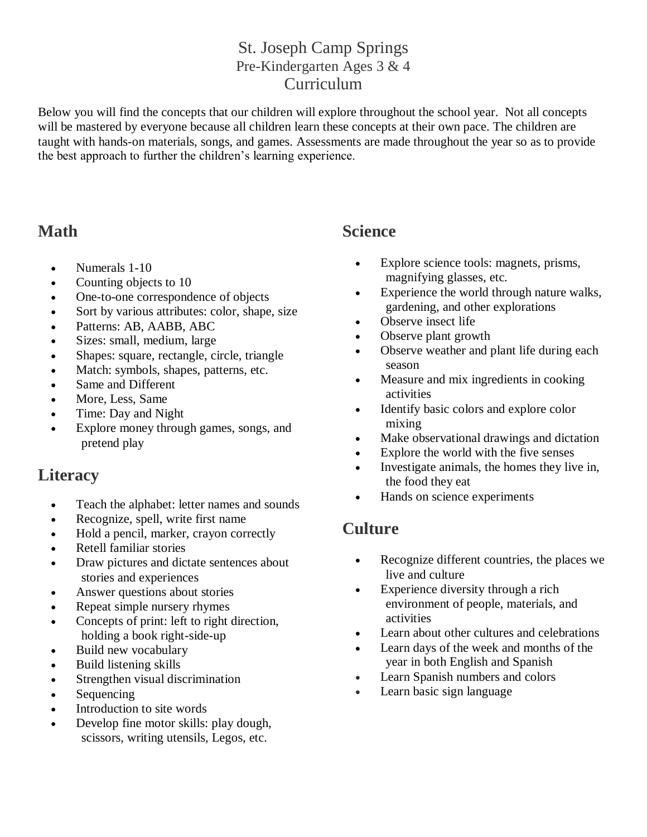#### St. Joseph Camp Springs Pre-Kindergarten Ages 3 & 4 Curriculum

Below you will find the concepts that our children will explore throughout the school year. Not all concepts will be mastered by everyone because all children learn these concepts at their own pace. The children are taught with hands-on materials, songs, and games. Assessments are made throughout the year so as to provide the best approach to further the children's learning experience.

### **Math**

- Numerals 1-10
- Counting objects to 10
- One-to-one correspondence of objects
- Sort by various attributes: color, shape, size
- Patterns: AB, AABB, ABC
- Sizes: small, medium, large
- Shapes: square, rectangle, circle, triangle
- Match: symbols, shapes, patterns, etc.
- Same and Different
- More, Less, Same
- Time: Day and Night
- Explore money through games, songs, and pretend play

#### **Literacy**

- Teach the alphabet: letter names and sounds
- Recognize, spell, write first name
- Hold a pencil, marker, crayon correctly
- Retell familiar stories
- Draw pictures and dictate sentences about stories and experiences
- Answer questions about stories
- Repeat simple nursery rhymes
- Concepts of print: left to right direction, holding a book right-side-up
- Build new vocabulary
- Build listening skills
- Strengthen visual discrimination
- Sequencing
- Introduction to site words
- Develop fine motor skills: play dough, scissors, writing utensils, Legos, etc.

#### **Science**

- Explore science tools: magnets, prisms, magnifying glasses, etc.
- Experience the world through nature walks, gardening, and other explorations
- Observe insect life
- Observe plant growth
- Observe weather and plant life during each season
- Measure and mix ingredients in cooking activities
- Identify basic colors and explore color mixing
- Make observational drawings and dictation
- Explore the world with the five senses
- Investigate animals, the homes they live in, the food they eat
- Hands on science experiments

## **Culture**

- Recognize different countries, the places we live and culture
- Experience diversity through a rich environment of people, materials, and activities
- Learn about other cultures and celebrations
- Learn days of the week and months of the year in both English and Spanish
- Learn Spanish numbers and colors
- Learn basic sign language